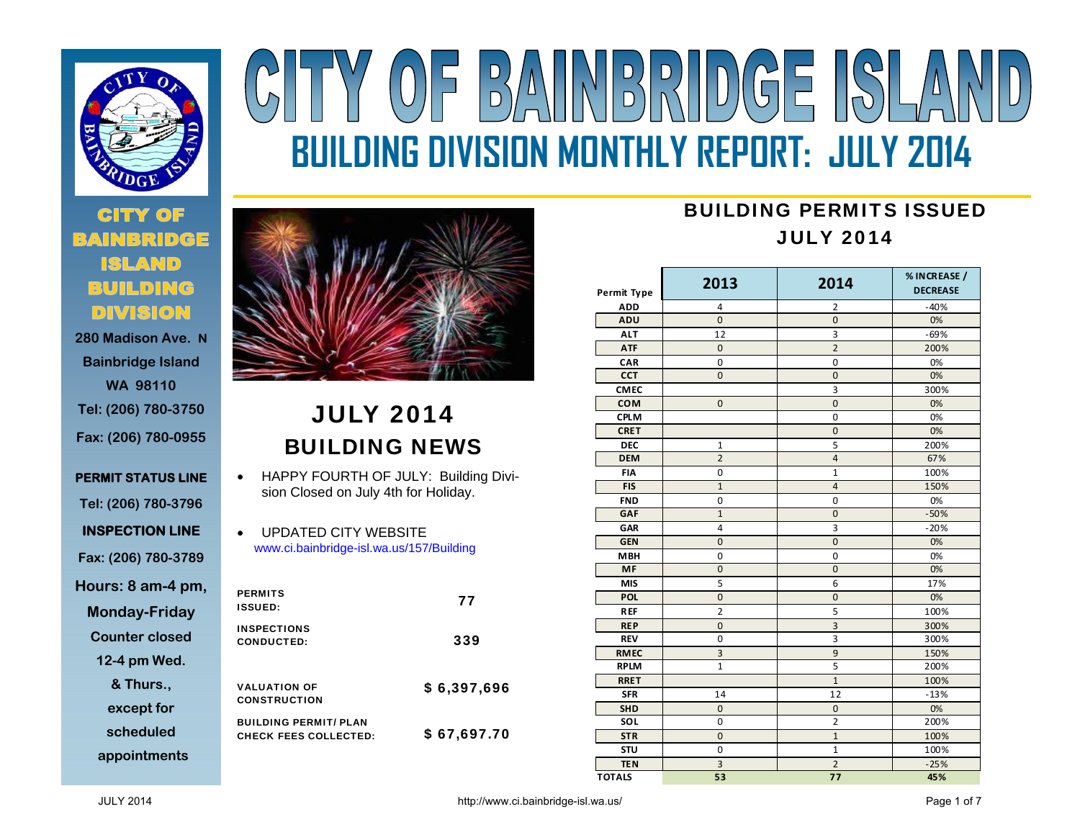

# **280 Madison Ave. N**

**Bainbridge Island WA 98110 Tel: (206) 780-3750 Fax: (206) 780-0955** 

**PERMIT STATUS LINE Tel: (206) 780-3796 INSPECTION LINE Fax: (206) 780-3789 Hours: 8 am-4 pm, Monday-Friday Counter closed** 

**12-4 pm Wed.** 

**& Thurs., except for** 

**scheduled** 

**appointments**



## JULY 2014 BUILDING NEWS

- $\bullet$  HAPPY FOURTH OF JULY: Building Division Closed on July 4th for Holiday.
- $\bullet$  UPDATED CITY WEBSITE www.ci.bainbridge-isl.wa.us/157/Building

| <b>PERMITS</b><br><b>ISSUED:</b>                             | 77          |
|--------------------------------------------------------------|-------------|
| <b>INSPECTIONS</b><br><b>CONDUCTED:</b>                      | 339         |
| <b>VALUATION OF</b><br><b>CONSTRUCTION</b>                   | \$6,397,696 |
| <b>BUILDING PERMIT/ PLAN</b><br><b>CHECK FEES COLLECTED:</b> | \$67,697.70 |

# Y OF BAINBRIDGE ISLA **BUILDING DIVISION MONTHLY REPORT: JULY 2014**

### BUILDING PERMITS ISSUEDJULY 2014

| Permit Type   | 2013                    | 2014           | % IN CREASE /<br><b>DECREASE</b> |
|---------------|-------------------------|----------------|----------------------------------|
| <b>ADD</b>    | 4                       | 2              | $-40%$                           |
| ADU           | $\mathbf{0}$            | $\overline{0}$ | 0%                               |
| <b>ALT</b>    | 12                      | 3              | $-69%$                           |
| <b>ATF</b>    | $\Omega$                | $\overline{2}$ | 200%                             |
| CAR           | $\pmb{0}$               | 0              | 0%                               |
| <b>CCT</b>    | $\mathbf{0}$            | $\overline{0}$ | 0%                               |
| <b>CMEC</b>   |                         | 3              | 300%                             |
| <b>COM</b>    | $\mathbf{0}$            | $\overline{0}$ | 0%                               |
| <b>CPLM</b>   |                         | 0              | 0%                               |
| <b>CRET</b>   |                         | $\overline{0}$ | 0%                               |
| <b>DEC</b>    | $\mathbf 1$             | 5              | 200%                             |
| <b>DEM</b>    | $\overline{2}$          | $\overline{4}$ | 67%                              |
| <b>FIA</b>    | $\mathbf 0$             | $\overline{1}$ | 100%                             |
| <b>FIS</b>    | $\mathbf{1}$            | $\overline{4}$ | 150%                             |
| <b>FND</b>    | $\mathbf 0$             | $\mathbf 0$    | 0%                               |
| GAF           | $\overline{1}$          | $\overline{0}$ | $-50%$                           |
| GAR           | $\overline{\mathbf{4}}$ | $\overline{3}$ | $-20%$                           |
| <b>GEN</b>    | $\mathbf 0$             | $\mathbf 0$    | 0%                               |
| <b>MBH</b>    | 0                       | 0              | 0%                               |
| <b>MF</b>     | $\overline{0}$          | $\overline{0}$ | 0%                               |
| <b>MIS</b>    | 5                       | 6              | 17%                              |
| <b>POL</b>    | $\mathbf 0$             | $\mathbf 0$    | 0%                               |
| <b>REF</b>    | $\overline{2}$          | 5              | 100%                             |
| <b>REP</b>    | $\mathbf{0}$            | $\overline{3}$ | 300%                             |
| <b>REV</b>    | $\mathbf 0$             | 3              | 300%                             |
| <b>RMEC</b>   | 3                       | 9              | 150%                             |
| <b>RPLM</b>   | $\mathbf{1}$            | 5              | 200%                             |
| <b>RRET</b>   |                         | $\mathbf{1}$   | 100%                             |
| <b>SFR</b>    | 14                      | 12             | $-13%$                           |
| <b>SHD</b>    | $\mathbf{0}$            | 0              | 0%                               |
| SOL           | $\mathbf 0$             | $\overline{2}$ | 200%                             |
| <b>STR</b>    | $\mathbf 0$             | $\mathbf{1}$   | 100%                             |
| <b>STU</b>    | $\mathbf 0$             | $\mathbf{1}$   | 100%                             |
| <b>TEN</b>    | 3                       | $\overline{2}$ | $-25%$                           |
| <b>TOTALS</b> | 53                      | 77             | 45%                              |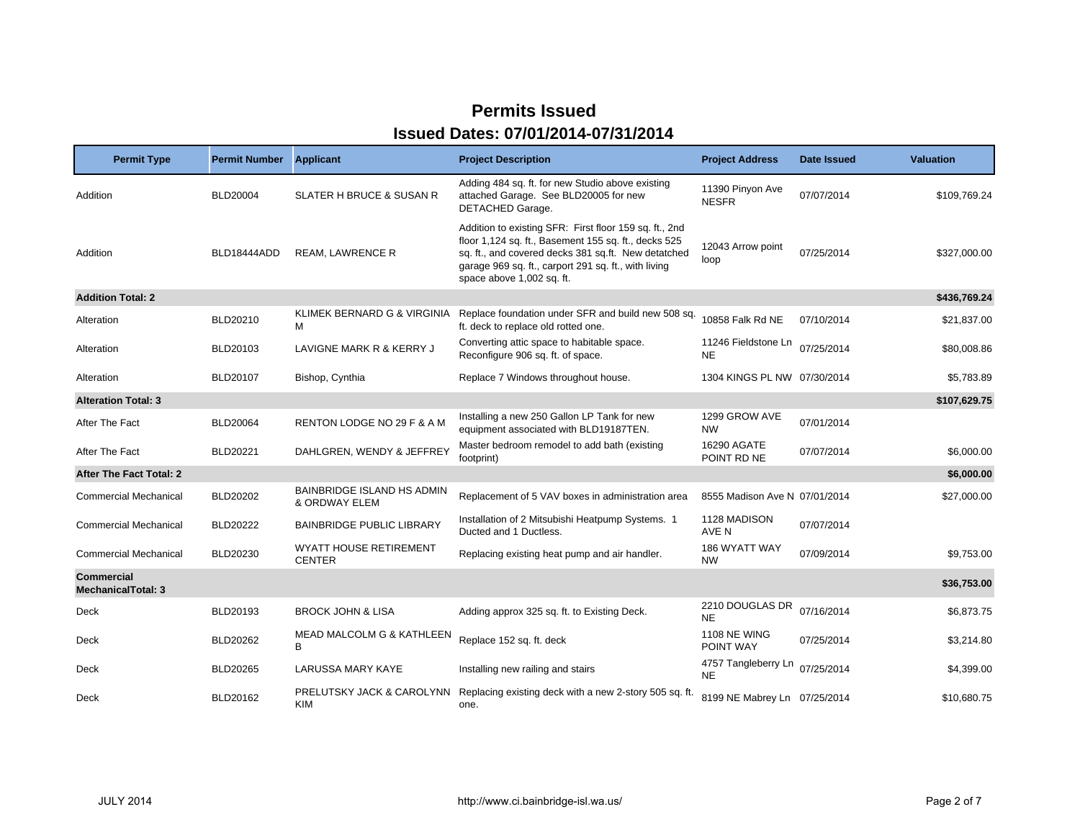| <b>Permit Type</b>                             | <b>Permit Number</b> | <b>Applicant</b>                                   | <b>Project Description</b>                                                                                                                                                                                                                                 | <b>Project Address</b>           | Date Issued | <b>Valuation</b> |
|------------------------------------------------|----------------------|----------------------------------------------------|------------------------------------------------------------------------------------------------------------------------------------------------------------------------------------------------------------------------------------------------------------|----------------------------------|-------------|------------------|
| Addition                                       | <b>BLD20004</b>      | <b>SLATER H BRUCE &amp; SUSAN R</b>                | Adding 484 sq. ft. for new Studio above existing<br>attached Garage. See BLD20005 for new<br>DETACHED Garage.                                                                                                                                              | 11390 Pinyon Ave<br><b>NESFR</b> | 07/07/2014  | \$109.769.24     |
| Addition                                       | BLD18444ADD          | <b>REAM, LAWRENCE R</b>                            | Addition to existing SFR: First floor 159 sq. ft., 2nd<br>floor 1,124 sq. ft., Basement 155 sq. ft., decks 525<br>sq. ft., and covered decks 381 sq.ft. New detatched<br>garage 969 sq. ft., carport 291 sq. ft., with living<br>space above 1,002 sq. ft. | 12043 Arrow point<br>loop        | 07/25/2014  | \$327,000.00     |
| <b>Addition Total: 2</b>                       |                      |                                                    |                                                                                                                                                                                                                                                            |                                  |             | \$436,769.24     |
| Alteration                                     | BLD20210             | KLIMEK BERNARD G & VIRGINIA<br>м                   | Replace foundation under SFR and build new 508 sq.<br>ft. deck to replace old rotted one.                                                                                                                                                                  | 10858 Falk Rd NE                 | 07/10/2014  | \$21,837.00      |
| Alteration                                     | BLD20103             | LAVIGNE MARK R & KERRY J                           | Converting attic space to habitable space.<br>Reconfigure 906 sq. ft. of space.                                                                                                                                                                            | 11246 Fieldstone Ln<br>NE.       | 07/25/2014  | \$80,008.86      |
| Alteration                                     | BLD20107             | Bishop, Cynthia                                    | Replace 7 Windows throughout house.                                                                                                                                                                                                                        | 1304 KINGS PL NW 07/30/2014      |             | \$5,783.89       |
| <b>Alteration Total: 3</b>                     |                      |                                                    |                                                                                                                                                                                                                                                            |                                  |             | \$107,629.75     |
| After The Fact                                 | <b>BLD20064</b>      | RENTON LODGE NO 29 F & A M                         | Installing a new 250 Gallon LP Tank for new<br>equipment associated with BLD19187TEN.                                                                                                                                                                      | 1299 GROW AVE<br><b>NW</b>       | 07/01/2014  |                  |
| After The Fact                                 | BLD20221             | DAHLGREN, WENDY & JEFFREY                          | Master bedroom remodel to add bath (existing<br>footprint)                                                                                                                                                                                                 | 16290 AGATE<br>POINT RD NE       | 07/07/2014  | \$6,000.00       |
| After The Fact Total: 2                        |                      |                                                    |                                                                                                                                                                                                                                                            |                                  |             | \$6,000.00       |
| <b>Commercial Mechanical</b>                   | BLD20202             | <b>BAINBRIDGE ISLAND HS ADMIN</b><br>& ORDWAY ELEM | Replacement of 5 VAV boxes in administration area                                                                                                                                                                                                          | 8555 Madison Ave N 07/01/2014    |             | \$27,000.00      |
| <b>Commercial Mechanical</b>                   | BLD20222             | <b>BAINBRIDGE PUBLIC LIBRARY</b>                   | Installation of 2 Mitsubishi Heatpump Systems. 1<br>Ducted and 1 Ductless.                                                                                                                                                                                 | 1128 MADISON<br>AVE N            | 07/07/2014  |                  |
| <b>Commercial Mechanical</b>                   | BLD20230             | <b>WYATT HOUSE RETIREMENT</b><br><b>CENTER</b>     | Replacing existing heat pump and air handler.                                                                                                                                                                                                              | 186 WYATT WAY<br><b>NW</b>       | 07/09/2014  | \$9,753.00       |
| <b>Commercial</b><br><b>MechanicalTotal: 3</b> |                      |                                                    |                                                                                                                                                                                                                                                            |                                  |             | \$36,753.00      |
| Deck                                           | BLD20193             | <b>BROCK JOHN &amp; LISA</b>                       | Adding approx 325 sq. ft. to Existing Deck.                                                                                                                                                                                                                | 2210 DOUGLAS DR<br><b>NE</b>     | 07/16/2014  | \$6,873.75       |
| Deck                                           | <b>BLD20262</b>      | <b>MEAD MALCOLM G &amp; KATHLEEN</b><br>B          | Replace 152 sq. ft. deck                                                                                                                                                                                                                                   | <b>1108 NE WING</b><br>POINT WAY | 07/25/2014  | \$3,214.80       |
| Deck                                           | BLD20265             | LARUSSA MARY KAYE                                  | Installing new railing and stairs                                                                                                                                                                                                                          | 4757 Tangleberry Ln<br><b>NE</b> | 07/25/2014  | \$4,399.00       |
| Deck                                           | BLD20162             | PRELUTSKY JACK & CAROLYNN<br><b>KIM</b>            | Replacing existing deck with a new 2-story 505 sq. ft.<br>one.                                                                                                                                                                                             | 8199 NE Mabrey Ln 07/25/2014     |             | \$10,680.75      |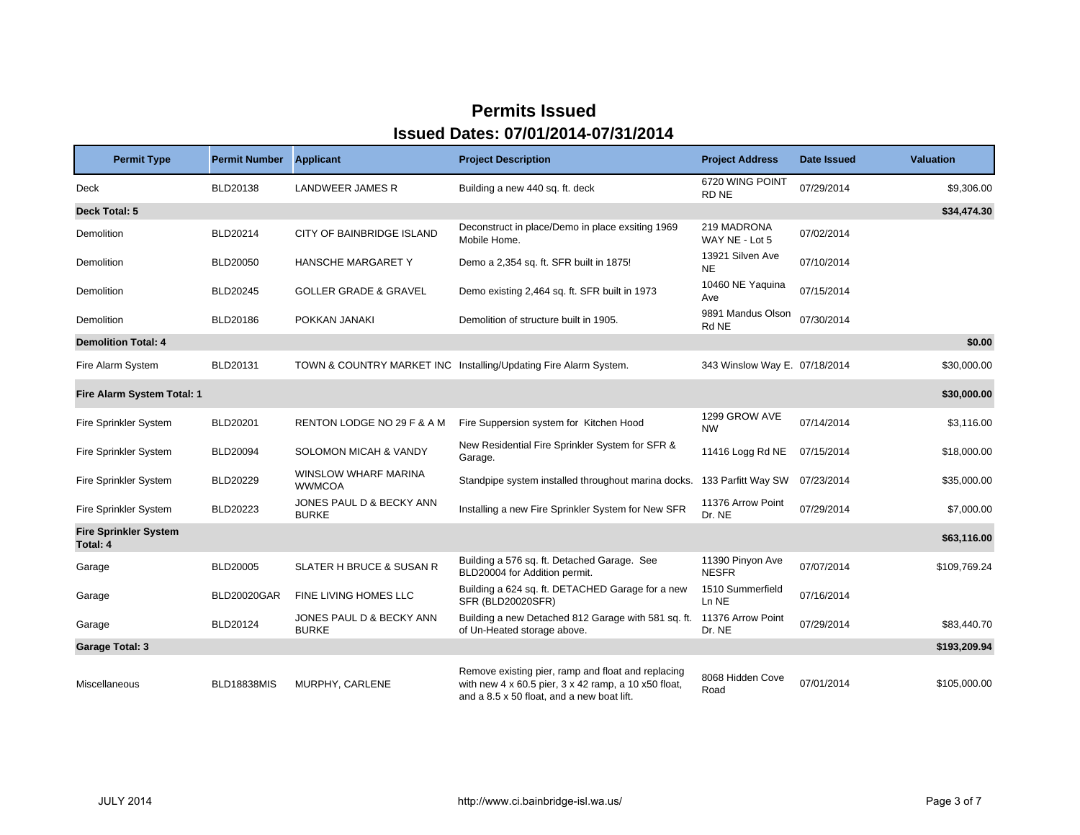| <b>Permit Type</b>                       | <b>Permit Number</b> | <b>Applicant</b>                         | <b>Project Description</b>                                                                                                                               | <b>Project Address</b>           | <b>Date Issued</b> | <b>Valuation</b> |
|------------------------------------------|----------------------|------------------------------------------|----------------------------------------------------------------------------------------------------------------------------------------------------------|----------------------------------|--------------------|------------------|
| <b>Deck</b>                              | BLD20138             | <b>LANDWEER JAMES R</b>                  | Building a new 440 sq. ft. deck                                                                                                                          | 6720 WING POINT<br>RD NE         | 07/29/2014         | \$9,306.00       |
| Deck Total: 5                            |                      |                                          |                                                                                                                                                          |                                  |                    | \$34,474.30      |
| Demolition                               | BLD20214             | CITY OF BAINBRIDGE ISLAND                | Deconstruct in place/Demo in place exsiting 1969<br>Mobile Home.                                                                                         | 219 MADRONA<br>WAY NE - Lot 5    | 07/02/2014         |                  |
| Demolition                               | <b>BLD20050</b>      | HANSCHE MARGARET Y                       | Demo a 2,354 sq. ft. SFR built in 1875!                                                                                                                  | 13921 Silven Ave<br><b>NE</b>    | 07/10/2014         |                  |
| Demolition                               | <b>BLD20245</b>      | <b>GOLLER GRADE &amp; GRAVEL</b>         | Demo existing 2,464 sq. ft. SFR built in 1973                                                                                                            | 10460 NE Yaquina<br>Ave          | 07/15/2014         |                  |
| Demolition                               | BLD20186             | POKKAN JANAKI                            | Demolition of structure built in 1905.                                                                                                                   | 9891 Mandus Olson<br>Rd NE       | 07/30/2014         |                  |
| <b>Demolition Total: 4</b>               |                      |                                          |                                                                                                                                                          |                                  |                    | \$0.00           |
| Fire Alarm System                        | BLD20131             |                                          | TOWN & COUNTRY MARKET INC Installing/Updating Fire Alarm System.                                                                                         | 343 Winslow Way E. 07/18/2014    |                    | \$30,000.00      |
| Fire Alarm System Total: 1               |                      |                                          |                                                                                                                                                          |                                  |                    | \$30,000.00      |
| Fire Sprinkler System                    | <b>BLD20201</b>      | RENTON LODGE NO 29 F & A M               | Fire Suppersion system for Kitchen Hood                                                                                                                  | 1299 GROW AVE<br><b>NW</b>       | 07/14/2014         | \$3,116.00       |
| Fire Sprinkler System                    | <b>BLD20094</b>      | SOLOMON MICAH & VANDY                    | New Residential Fire Sprinkler System for SFR &<br>Garage.                                                                                               | 11416 Logg Rd NE                 | 07/15/2014         | \$18,000.00      |
| Fire Sprinkler System                    | BLD20229             | WINSLOW WHARF MARINA<br><b>WWMCOA</b>    | Standpipe system installed throughout marina docks.                                                                                                      | 133 Parfitt Way SW               | 07/23/2014         | \$35,000.00      |
| Fire Sprinkler System                    | BLD20223             | JONES PAUL D & BECKY ANN<br><b>BURKE</b> | Installing a new Fire Sprinkler System for New SFR                                                                                                       | 11376 Arrow Point<br>Dr. NE      | 07/29/2014         | \$7,000.00       |
| <b>Fire Sprinkler System</b><br>Total: 4 |                      |                                          |                                                                                                                                                          |                                  |                    | \$63,116.00      |
| Garage                                   | <b>BLD20005</b>      | <b>SLATER H BRUCE &amp; SUSAN R</b>      | Building a 576 sq. ft. Detached Garage. See<br>BLD20004 for Addition permit.                                                                             | 11390 Pinyon Ave<br><b>NESFR</b> | 07/07/2014         | \$109.769.24     |
| Garage                                   | <b>BLD20020GAR</b>   | FINE LIVING HOMES LLC                    | Building a 624 sq. ft. DETACHED Garage for a new<br>SFR (BLD20020SFR)                                                                                    | 1510 Summerfield<br>Ln NE        | 07/16/2014         |                  |
| Garage                                   | BLD20124             | JONES PAUL D & BECKY ANN<br><b>BURKE</b> | Building a new Detached 812 Garage with 581 sq. ft.<br>of Un-Heated storage above.                                                                       | 11376 Arrow Point<br>Dr. NE      | 07/29/2014         | \$83,440.70      |
| <b>Garage Total: 3</b>                   |                      |                                          |                                                                                                                                                          |                                  |                    | \$193,209.94     |
| Miscellaneous                            | <b>BLD18838MIS</b>   | MURPHY, CARLENE                          | Remove existing pier, ramp and float and replacing<br>with new 4 x 60.5 pier, 3 x 42 ramp, a 10 x50 float,<br>and a 8.5 x 50 float, and a new boat lift. | 8068 Hidden Cove<br>Road         | 07/01/2014         | \$105,000.00     |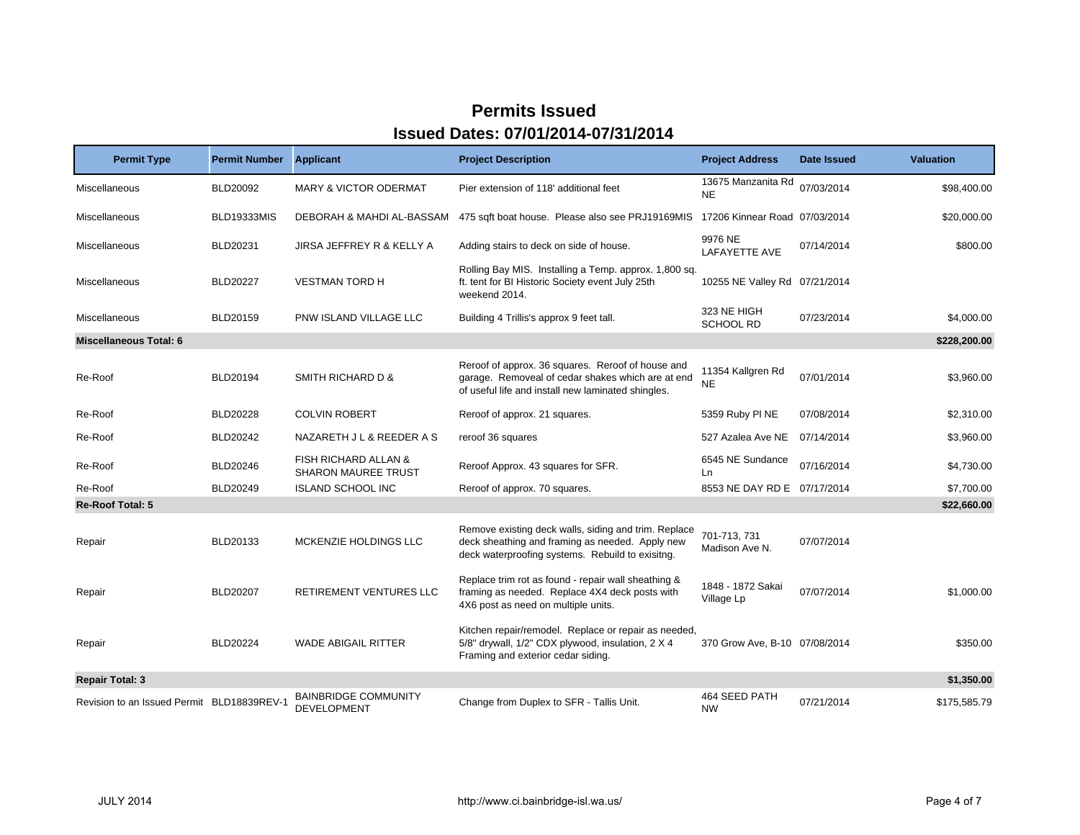| <b>Permit Type</b>                         | <b>Permit Number</b> | <b>Applicant</b>                                              | <b>Project Description</b>                                                                                                                                   | <b>Project Address</b>          | Date Issued | <b>Valuation</b> |
|--------------------------------------------|----------------------|---------------------------------------------------------------|--------------------------------------------------------------------------------------------------------------------------------------------------------------|---------------------------------|-------------|------------------|
| Miscellaneous                              | BLD20092             | <b>MARY &amp; VICTOR ODERMAT</b>                              | Pier extension of 118' additional feet                                                                                                                       | 13675 Manzanita Rd<br><b>NE</b> | 07/03/2014  | \$98,400.00      |
| Miscellaneous                              | BLD19333MIS          | DEBORAH & MAHDI AL-BASSAM                                     | 475 sqft boat house. Please also see PRJ19169MIS                                                                                                             | 17206 Kinnear Road 07/03/2014   |             | \$20,000.00      |
| <b>Miscellaneous</b>                       | BLD20231             | JIRSA JEFFREY R & KELLY A                                     | Adding stairs to deck on side of house.                                                                                                                      | 9976 NE<br><b>LAFAYETTE AVE</b> | 07/14/2014  | \$800.00         |
| Miscellaneous                              | <b>BLD20227</b>      | <b>VESTMAN TORD H</b>                                         | Rolling Bay MIS. Installing a Temp. approx. 1,800 sq.<br>ft. tent for BI Historic Society event July 25th<br>weekend 2014.                                   | 10255 NE Valley Rd 07/21/2014   |             |                  |
| Miscellaneous                              | BLD20159             | PNW ISLAND VILLAGE LLC                                        | Building 4 Trillis's approx 9 feet tall.                                                                                                                     | 323 NE HIGH<br><b>SCHOOL RD</b> | 07/23/2014  | \$4,000.00       |
| <b>Miscellaneous Total: 6</b>              |                      |                                                               |                                                                                                                                                              |                                 |             | \$228,200.00     |
| Re-Roof                                    | BLD20194             | SMITH RICHARD D &                                             | Reroof of approx. 36 squares. Reroof of house and<br>garage. Removeal of cedar shakes which are at end<br>of useful life and install new laminated shingles. | 11354 Kallgren Rd<br><b>NE</b>  | 07/01/2014  | \$3,960.00       |
| Re-Roof                                    | <b>BLD20228</b>      | <b>COLVIN ROBERT</b>                                          | Reroof of approx. 21 squares.                                                                                                                                | 5359 Ruby PI NE                 | 07/08/2014  | \$2,310.00       |
| Re-Roof                                    | BLD20242             | NAZARETH J L & REEDER A S                                     | reroof 36 squares                                                                                                                                            | 527 Azalea Ave NE               | 07/14/2014  | \$3,960.00       |
| Re-Roof                                    | BLD20246             | <b>FISH RICHARD ALLAN &amp;</b><br><b>SHARON MAUREE TRUST</b> | Reroof Approx. 43 squares for SFR.                                                                                                                           | 6545 NE Sundance<br>Ln          | 07/16/2014  | \$4,730.00       |
| Re-Roof                                    | BLD20249             | <b>ISLAND SCHOOL INC</b>                                      | Reroof of approx. 70 squares.                                                                                                                                | 8553 NE DAY RD E 07/17/2014     |             | \$7,700.00       |
| <b>Re-Roof Total: 5</b>                    |                      |                                                               |                                                                                                                                                              |                                 |             | \$22,660.00      |
| Repair                                     | BLD20133             | MCKENZIE HOLDINGS LLC                                         | Remove existing deck walls, siding and trim. Replace<br>deck sheathing and framing as needed. Apply new<br>deck waterproofing systems. Rebuild to exisitng.  | 701-713, 731<br>Madison Ave N.  | 07/07/2014  |                  |
| Repair                                     | <b>BLD20207</b>      | <b>RETIREMENT VENTURES LLC</b>                                | Replace trim rot as found - repair wall sheathing &<br>framing as needed. Replace 4X4 deck posts with<br>4X6 post as need on multiple units.                 | 1848 - 1872 Sakai<br>Village Lp | 07/07/2014  | \$1,000.00       |
| Repair                                     | <b>BLD20224</b>      | <b>WADE ABIGAIL RITTER</b>                                    | Kitchen repair/remodel. Replace or repair as needed,<br>5/8" drywall, 1/2" CDX plywood, insulation, 2 X 4<br>Framing and exterior cedar siding.              | 370 Grow Ave, B-10 07/08/2014   |             | \$350.00         |
| <b>Repair Total: 3</b>                     |                      |                                                               |                                                                                                                                                              |                                 |             | \$1,350.00       |
| Revision to an Issued Permit BLD18839REV-1 |                      | <b>BAINBRIDGE COMMUNITY</b><br><b>DEVELOPMENT</b>             | Change from Duplex to SFR - Tallis Unit.                                                                                                                     | 464 SEED PATH<br><b>NW</b>      | 07/21/2014  | \$175,585.79     |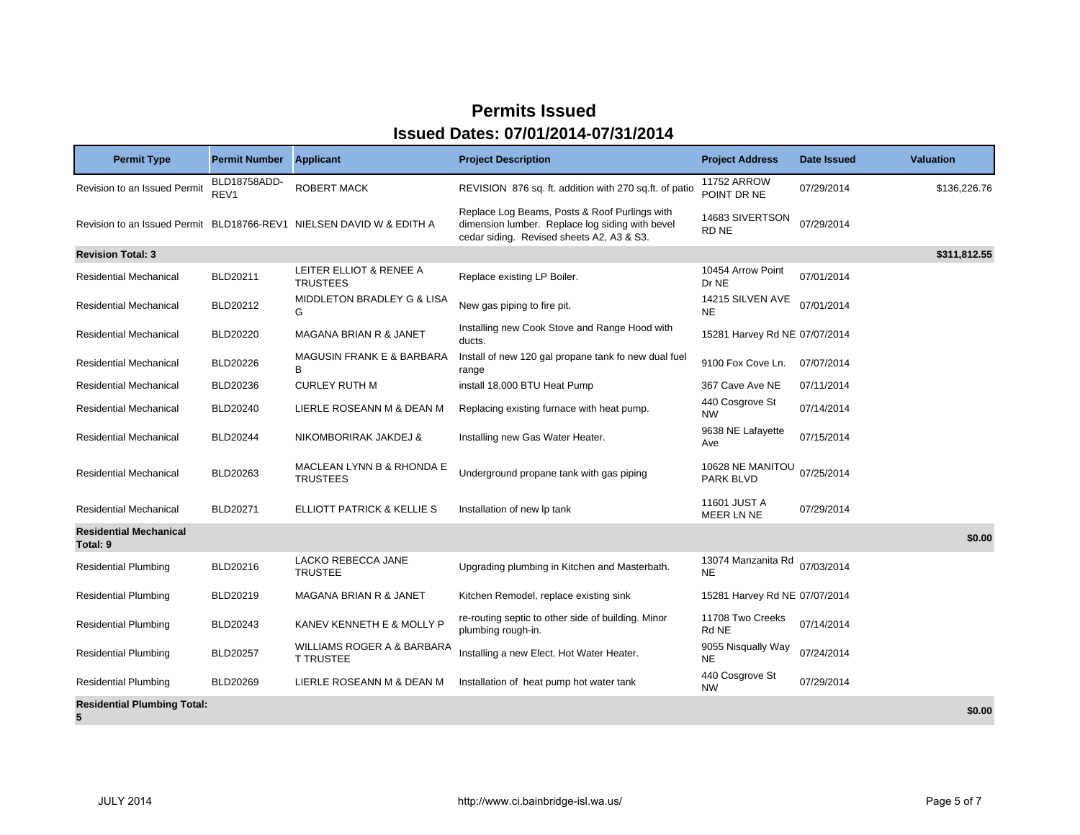| <b>Permit Type</b>                        | <b>Permit Number</b>             | <b>Applicant</b>                                                     | <b>Project Description</b>                                                                                                                    | <b>Project Address</b>               | Date Issued | <b>Valuation</b> |
|-------------------------------------------|----------------------------------|----------------------------------------------------------------------|-----------------------------------------------------------------------------------------------------------------------------------------------|--------------------------------------|-------------|------------------|
| Revision to an Issued Permit              | BLD18758ADD-<br>REV <sub>1</sub> | <b>ROBERT MACK</b>                                                   | REVISION 876 sq. ft. addition with 270 sq.ft. of patio                                                                                        | <b>11752 ARROW</b><br>POINT DR NE    | 07/29/2014  | \$136,226.76     |
|                                           |                                  | Revision to an Issued Permit BLD18766-REV1 NIELSEN DAVID W & EDITH A | Replace Log Beams, Posts & Roof Purlings with<br>dimension lumber. Replace log siding with bevel<br>cedar siding. Revised sheets A2, A3 & S3. | 14683 SIVERTSON<br>RD NE             | 07/29/2014  |                  |
| <b>Revision Total: 3</b>                  |                                  |                                                                      |                                                                                                                                               |                                      |             | \$311,812.55     |
| <b>Residential Mechanical</b>             | BLD20211                         | LEITER ELLIOT & RENEE A<br><b>TRUSTEES</b>                           | Replace existing LP Boiler.                                                                                                                   | 10454 Arrow Point<br>Dr NE           | 07/01/2014  |                  |
| <b>Residential Mechanical</b>             | BLD20212                         | MIDDLETON BRADLEY G & LISA<br>G                                      | New gas piping to fire pit.                                                                                                                   | 14215 SILVEN AVE<br><b>NE</b>        | 07/01/2014  |                  |
| <b>Residential Mechanical</b>             | <b>BLD20220</b>                  | MAGANA BRIAN R & JANET                                               | Installing new Cook Stove and Range Hood with<br>ducts.                                                                                       | 15281 Harvey Rd NE 07/07/2014        |             |                  |
| <b>Residential Mechanical</b>             | BLD20226                         | <b>MAGUSIN FRANK E &amp; BARBARA</b><br>В                            | Install of new 120 gal propane tank fo new dual fuel<br>range                                                                                 | 9100 Fox Cove Ln.                    | 07/07/2014  |                  |
| <b>Residential Mechanical</b>             | BLD20236                         | <b>CURLEY RUTH M</b>                                                 | install 18,000 BTU Heat Pump                                                                                                                  | 367 Cave Ave NE                      | 07/11/2014  |                  |
| Residential Mechanical                    | BLD20240                         | LIERLE ROSEANN M & DEAN M                                            | Replacing existing furnace with heat pump.                                                                                                    | 440 Cosgrove St<br><b>NW</b>         | 07/14/2014  |                  |
| <b>Residential Mechanical</b>             | <b>BLD20244</b>                  | NIKOMBORIRAK JAKDEJ &                                                | Installing new Gas Water Heater.                                                                                                              | 9638 NE Lafayette<br>Ave             | 07/15/2014  |                  |
| <b>Residential Mechanical</b>             | BLD20263                         | MACLEAN LYNN B & RHONDA E<br><b>TRUSTEES</b>                         | Underground propane tank with gas piping                                                                                                      | 10628 NE MANITOU<br><b>PARK BLVD</b> | 07/25/2014  |                  |
| <b>Residential Mechanical</b>             | <b>BLD20271</b>                  | ELLIOTT PATRICK & KELLIE S                                           | Installation of new Ip tank                                                                                                                   | 11601 JUST A<br>MEER LN NE           | 07/29/2014  |                  |
| <b>Residential Mechanical</b><br>Total: 9 |                                  |                                                                      |                                                                                                                                               |                                      |             | \$0.00           |
| <b>Residential Plumbing</b>               | BLD20216                         | LACKO REBECCA JANE<br><b>TRUSTEE</b>                                 | Upgrading plumbing in Kitchen and Masterbath.                                                                                                 | 13074 Manzanita Rd<br><b>NE</b>      | 07/03/2014  |                  |
| <b>Residential Plumbing</b>               | BLD20219                         | MAGANA BRIAN R & JANET                                               | Kitchen Remodel, replace existing sink                                                                                                        | 15281 Harvey Rd NE 07/07/2014        |             |                  |
| <b>Residential Plumbing</b>               | BLD20243                         | KANEV KENNETH E & MOLLY P                                            | re-routing septic to other side of building. Minor<br>plumbing rough-in.                                                                      | 11708 Two Creeks<br>Rd NE            | 07/14/2014  |                  |
| <b>Residential Plumbing</b>               | BLD20257                         | WILLIAMS ROGER A & BARBARA<br><b>T TRUSTEE</b>                       | Installing a new Elect. Hot Water Heater.                                                                                                     | 9055 Nisqually Way<br><b>NE</b>      | 07/24/2014  |                  |
| <b>Residential Plumbing</b>               | BLD20269                         | LIERLE ROSEANN M & DEAN M                                            | Installation of heat pump hot water tank                                                                                                      | 440 Cosgrove St<br><b>NW</b>         | 07/29/2014  |                  |
| <b>Residential Plumbing Total:</b><br>5   |                                  |                                                                      |                                                                                                                                               |                                      |             | \$0.00           |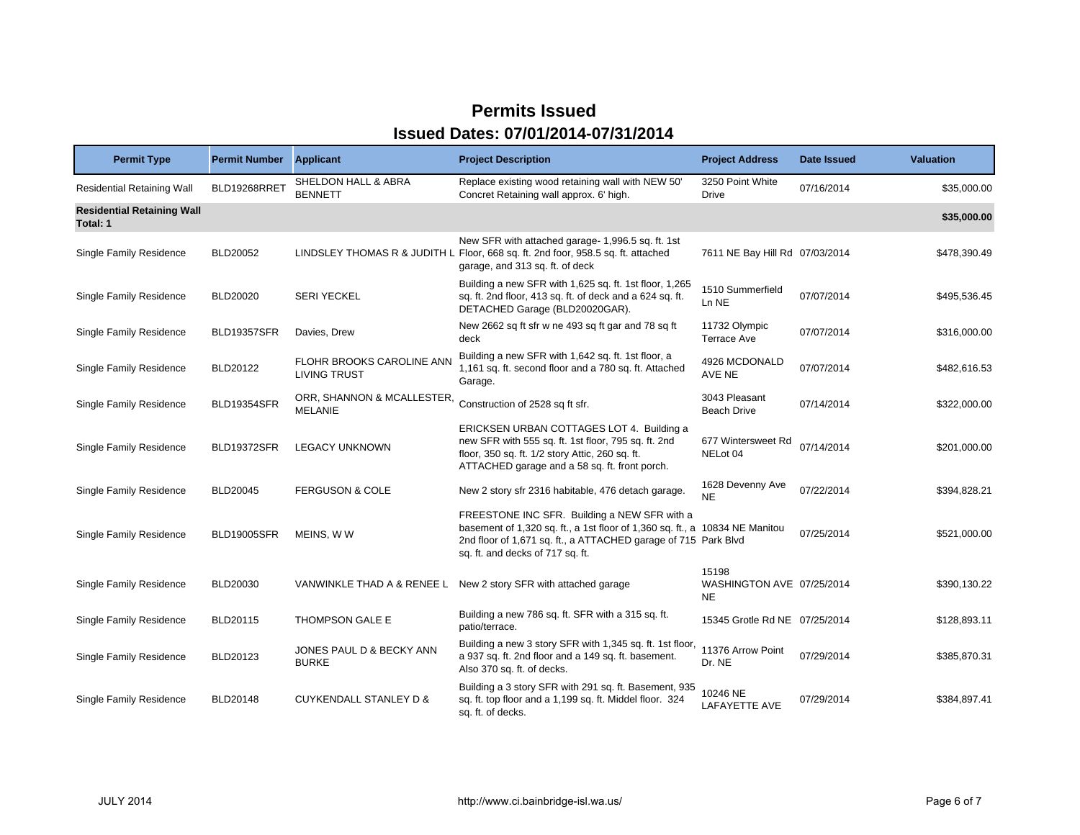| <b>Permit Type</b>                            | <b>Permit Number</b> | <b>Applicant</b>                                 | <b>Project Description</b>                                                                                                                                                                                                        | <b>Project Address</b>                          | Date Issued | <b>Valuation</b> |
|-----------------------------------------------|----------------------|--------------------------------------------------|-----------------------------------------------------------------------------------------------------------------------------------------------------------------------------------------------------------------------------------|-------------------------------------------------|-------------|------------------|
| <b>Residential Retaining Wall</b>             | BLD19268RRET         | SHELDON HALL & ABRA<br><b>BENNETT</b>            | Replace existing wood retaining wall with NEW 50'<br>Concret Retaining wall approx. 6' high.                                                                                                                                      | 3250 Point White<br>Drive                       | 07/16/2014  | \$35,000.00      |
| <b>Residential Retaining Wall</b><br>Total: 1 |                      |                                                  |                                                                                                                                                                                                                                   |                                                 |             | \$35,000.00      |
| Single Family Residence                       | <b>BLD20052</b>      |                                                  | New SFR with attached garage- 1,996.5 sq. ft. 1st<br>LINDSLEY THOMAS R & JUDITH L Floor, 668 sq. ft. 2nd foor, 958.5 sq. ft. attached<br>garage, and 313 sq. ft. of deck                                                          | 7611 NE Bay Hill Rd 07/03/2014                  |             | \$478,390.49     |
| Single Family Residence                       | <b>BLD20020</b>      | <b>SERI YECKEL</b>                               | Building a new SFR with 1,625 sq. ft. 1st floor, 1,265<br>sq. ft. 2nd floor, 413 sq. ft. of deck and a 624 sq. ft.<br>DETACHED Garage (BLD20020GAR).                                                                              | 1510 Summerfield<br>Ln NE                       | 07/07/2014  | \$495,536.45     |
| <b>Single Family Residence</b>                | <b>BLD19357SFR</b>   | Davies, Drew                                     | New 2662 sq ft sfr w ne 493 sq ft gar and 78 sq ft<br>deck                                                                                                                                                                        | 11732 Olympic<br><b>Terrace Ave</b>             | 07/07/2014  | \$316,000.00     |
| Single Family Residence                       | BLD20122             | FLOHR BROOKS CAROLINE ANN<br><b>LIVING TRUST</b> | Building a new SFR with 1,642 sq. ft. 1st floor, a<br>1,161 sq. ft. second floor and a 780 sq. ft. Attached<br>Garage.                                                                                                            | 4926 MCDONALD<br>AVE NE                         | 07/07/2014  | \$482,616.53     |
| Single Family Residence                       | <b>BLD19354SFR</b>   | ORR, SHANNON & MCALLESTER,<br><b>MELANIE</b>     | Construction of 2528 sq ft sfr.                                                                                                                                                                                                   | 3043 Pleasant<br><b>Beach Drive</b>             | 07/14/2014  | \$322,000.00     |
| Single Family Residence                       | BLD19372SFR          | <b>LEGACY UNKNOWN</b>                            | ERICKSEN URBAN COTTAGES LOT 4. Building a<br>new SFR with 555 sq. ft. 1st floor, 795 sq. ft. 2nd<br>floor, 350 sq. ft. 1/2 story Attic, 260 sq. ft.<br>ATTACHED garage and a 58 sq. ft. front porch.                              | 677 Wintersweet Rd<br>NELot 04                  | 07/14/2014  | \$201,000.00     |
| Single Family Residence                       | BLD20045             | <b>FERGUSON &amp; COLE</b>                       | New 2 story sfr 2316 habitable, 476 detach garage.                                                                                                                                                                                | 1628 Devenny Ave<br>NE                          | 07/22/2014  | \$394,828.21     |
| <b>Single Family Residence</b>                | <b>BLD19005SFR</b>   | MEINS, WW                                        | FREESTONE INC SFR. Building a NEW SFR with a<br>basement of 1,320 sq. ft., a 1st floor of 1,360 sq. ft., a 10834 NE Manitou<br>2nd floor of 1,671 sq. ft., a ATTACHED garage of 715 Park Blvd<br>sq. ft. and decks of 717 sq. ft. |                                                 | 07/25/2014  | \$521,000.00     |
| <b>Single Family Residence</b>                | BLD20030             | VANWINKLE THAD A & RENEE L                       | New 2 story SFR with attached garage                                                                                                                                                                                              | 15198<br>WASHINGTON AVE 07/25/2014<br><b>NE</b> |             | \$390,130.22     |
| Single Family Residence                       | BLD20115             | THOMPSON GALE E                                  | Building a new 786 sq. ft. SFR with a 315 sq. ft.<br>patio/terrace.                                                                                                                                                               | 15345 Grotle Rd NE 07/25/2014                   |             | \$128,893.11     |
| Single Family Residence                       | BLD20123             | JONES PAUL D & BECKY ANN<br><b>BURKE</b>         | Building a new 3 story SFR with 1,345 sq. ft. 1st floor,<br>a 937 sq. ft. 2nd floor and a 149 sq. ft. basement.<br>Also 370 sq. ft. of decks.                                                                                     | 11376 Arrow Point<br>Dr. NE                     | 07/29/2014  | \$385,870.31     |
| Single Family Residence                       | <b>BLD20148</b>      | <b>CUYKENDALL STANLEY D &amp;</b>                | Building a 3 story SFR with 291 sq. ft. Basement, 935<br>sq. ft. top floor and a 1,199 sq. ft. Middel floor. 324<br>sq. ft. of decks.                                                                                             | 10246 NE<br>LAFAYETTE AVE                       | 07/29/2014  | \$384,897.41     |